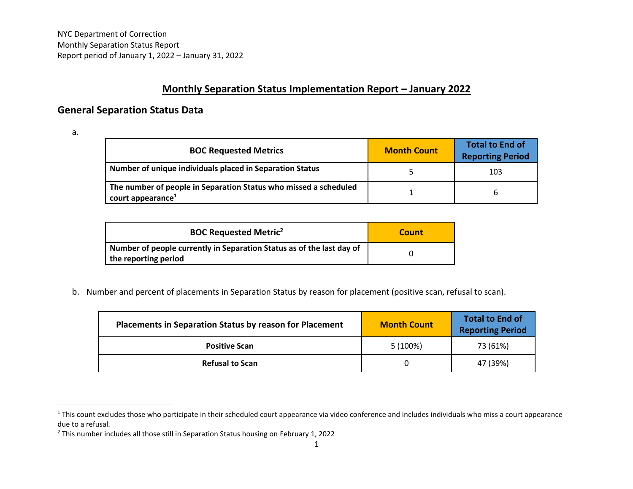## **Monthly Separation Status Implementation Report – January 2022**

## **General Separation Status Data**

a.

| <b>BOC Requested Metrics</b>                                                                      | <b>Month Count</b> | <b>Total to End of</b><br><b>Reporting Period</b> |
|---------------------------------------------------------------------------------------------------|--------------------|---------------------------------------------------|
| Number of unique individuals placed in Separation Status                                          |                    | 103                                               |
| The number of people in Separation Status who missed a scheduled<br>court appearance <sup>1</sup> |                    |                                                   |

| <b>BOC Requested Metric<sup>2</sup></b>                                                       | Count |
|-----------------------------------------------------------------------------------------------|-------|
| Number of people currently in Separation Status as of the last day of<br>the reporting period |       |

b. Number and percent of placements in Separation Status by reason for placement (positive scan, refusal to scan).

| <b>Placements in Separation Status by reason for Placement</b> | <b>Month Count</b> | <b>Total to End of</b><br><b>Reporting Period</b> |
|----------------------------------------------------------------|--------------------|---------------------------------------------------|
| <b>Positive Scan</b>                                           | 5 (100%)           | 73 (61%)                                          |
| <b>Refusal to Scan</b>                                         |                    | 47 (39%)                                          |

<sup>&</sup>lt;sup>1</sup> This count excludes those who participate in their scheduled court appearance via video conference and includes individuals who miss a court appearance due to a refusal.

<sup>&</sup>lt;sup>2</sup> This number includes all those still in Separation Status housing on February 1, 2022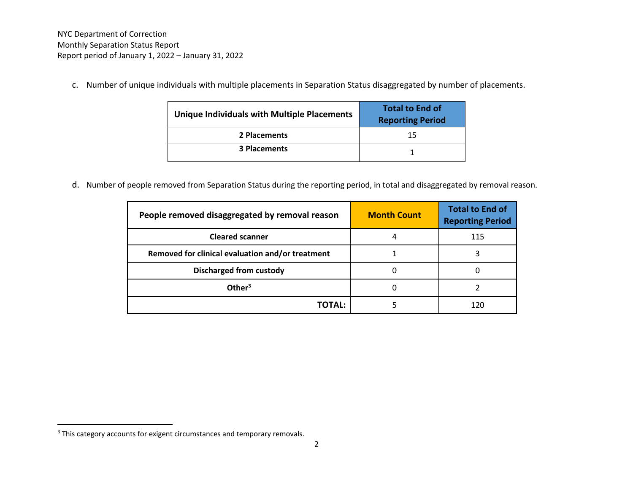c. Number of unique individuals with multiple placements in Separation Status disaggregated by number of placements.

| Unique Individuals with Multiple Placements | <b>Total to End of</b><br><b>Reporting Period</b> |
|---------------------------------------------|---------------------------------------------------|
| 2 Placements                                | 15                                                |
| <b>3 Placements</b>                         |                                                   |

d. Number of people removed from Separation Status during the reporting period, in total and disaggregated by removal reason.

| People removed disaggregated by removal reason   | <b>Month Count</b> | <b>Total to End of</b><br><b>Reporting Period</b> |
|--------------------------------------------------|--------------------|---------------------------------------------------|
| <b>Cleared scanner</b>                           |                    | 115                                               |
| Removed for clinical evaluation and/or treatment |                    |                                                   |
| <b>Discharged from custody</b>                   |                    |                                                   |
| Other <sup>3</sup>                               |                    |                                                   |
| TOTAL:                                           |                    |                                                   |

<sup>&</sup>lt;sup>3</sup> This category accounts for exigent circumstances and temporary removals.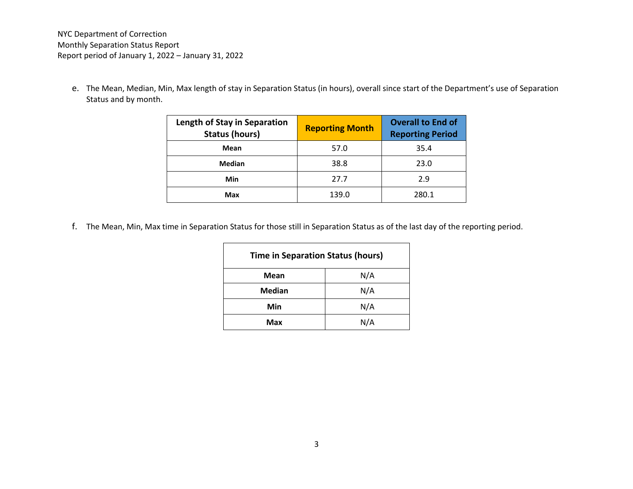e. The Mean, Median, Min, Max length of stay in Separation Status (in hours), overall since start of the Department's use of Separation Status and by month.

| <b>Length of Stay in Separation</b><br><b>Status (hours)</b> | <b>Reporting Month</b> | <b>Overall to End of</b><br><b>Reporting Period</b> |
|--------------------------------------------------------------|------------------------|-----------------------------------------------------|
| Mean                                                         | 57.0                   | 35.4                                                |
| Median                                                       | 38.8                   | 23.0                                                |
| Min                                                          | 27.7                   | 2.9                                                 |
| Max                                                          | 139.0                  | 280.1                                               |

f. The Mean, Min, Max time in Separation Status for those still in Separation Status as of the last day of the reporting period.

| <b>Time in Separation Status (hours)</b> |     |  |
|------------------------------------------|-----|--|
| <b>Mean</b>                              | N/A |  |
| <b>Median</b>                            | N/A |  |
| Min                                      | N/A |  |
| Max                                      | N/A |  |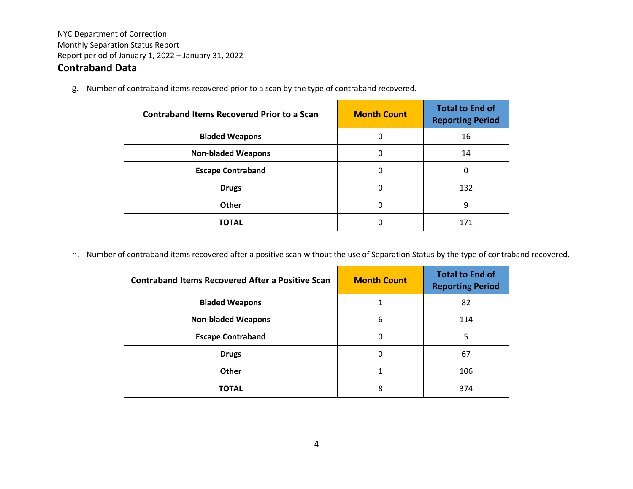## **Contraband Data**

g. Number of contraband items recovered prior to a scan by the type of contraband recovered.

| <b>Contraband Items Recovered Prior to a Scan</b> | <b>Month Count</b> | <b>Total to End of</b><br><b>Reporting Period</b> |
|---------------------------------------------------|--------------------|---------------------------------------------------|
| <b>Bladed Weapons</b>                             | 0                  | 16                                                |
| <b>Non-bladed Weapons</b>                         | 0                  | 14                                                |
| <b>Escape Contraband</b>                          | 0                  | 0                                                 |
| <b>Drugs</b>                                      | 0                  | 132                                               |
| Other                                             | 0                  | 9                                                 |
| <b>TOTAL</b>                                      | 0                  | 171                                               |

h. Number of contraband items recovered after a positive scan without the use of Separation Status by the type of contraband recovered.

| <b>Contraband Items Recovered After a Positive Scan</b> | <b>Month Count</b> | <b>Total to End of</b><br><b>Reporting Period</b> |
|---------------------------------------------------------|--------------------|---------------------------------------------------|
| <b>Bladed Weapons</b>                                   |                    | 82                                                |
| <b>Non-bladed Weapons</b>                               | 6                  | 114                                               |
| <b>Escape Contraband</b>                                | 0                  | 5                                                 |
| <b>Drugs</b>                                            | 0                  | 67                                                |
| Other                                                   |                    | 106                                               |
| <b>TOTAL</b>                                            | 8                  | 374                                               |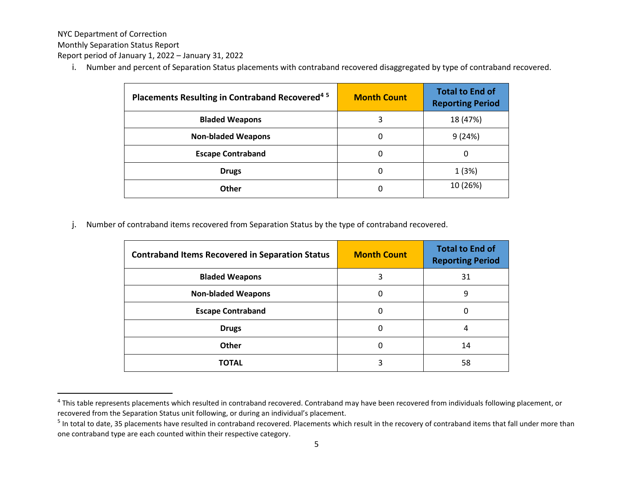NYC Department of Correction

Monthly Separation Status Report

Report period of January 1, 2022 – January 31, 2022

i. Number and percent of Separation Status placements with contraband recovered disaggregated by type of contraband recovered.

| Placements Resulting in Contraband Recovered <sup>45</sup> | <b>Month Count</b> | <b>Total to End of</b><br><b>Reporting Period</b> |
|------------------------------------------------------------|--------------------|---------------------------------------------------|
| <b>Bladed Weapons</b>                                      | 3                  | 18 (47%)                                          |
| <b>Non-bladed Weapons</b>                                  | 0                  | 9(24%)                                            |
| <b>Escape Contraband</b>                                   | 0                  | 0                                                 |
| <b>Drugs</b>                                               | 0                  | 1(3%)                                             |
| Other                                                      | 0                  | 10 (26%)                                          |

j. Number of contraband items recovered from Separation Status by the type of contraband recovered.

| <b>Contraband Items Recovered in Separation Status</b> | <b>Month Count</b> | <b>Total to End of</b><br><b>Reporting Period</b> |
|--------------------------------------------------------|--------------------|---------------------------------------------------|
| <b>Bladed Weapons</b>                                  | 3                  | 31                                                |
| <b>Non-bladed Weapons</b>                              | 0                  | 9                                                 |
| <b>Escape Contraband</b>                               | 0                  | 0                                                 |
| <b>Drugs</b>                                           | 0                  | 4                                                 |
| Other                                                  | Ω                  | 14                                                |
| TOTAL                                                  |                    | 58                                                |

<sup>&</sup>lt;sup>4</sup> This table represents placements which resulted in contraband recovered. Contraband may have been recovered from individuals following placement, or recovered from the Separation Status unit following, or during an individual's placement.

<sup>&</sup>lt;sup>5</sup> In total to date, 35 placements have resulted in contraband recovered. Placements which result in the recovery of contraband items that fall under more than one contraband type are each counted within their respective category.